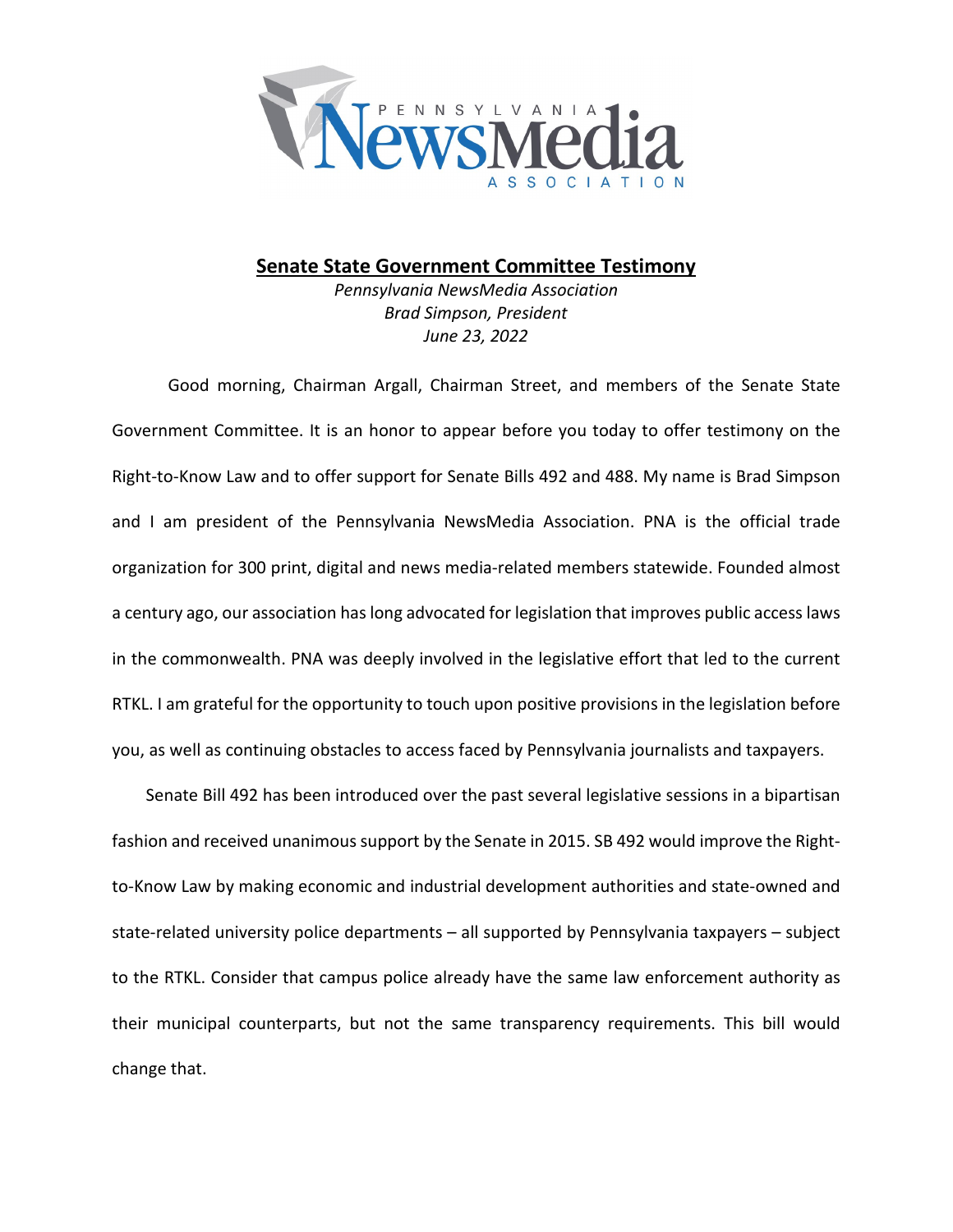

## **Senate State Government Committee Testimony**

*Pennsylvania NewsMedia Association Brad Simpson, President June 23, 2022*

Good morning, Chairman Argall, Chairman Street, and members of the Senate State Government Committee. It is an honor to appear before you today to offer testimony on the Right-to-Know Law and to offer support for Senate Bills 492 and 488. My name is Brad Simpson and I am president of the Pennsylvania NewsMedia Association. PNA is the official trade organization for 300 print, digital and news media-related members statewide. Founded almost a century ago, our association has long advocated for legislation that improves public access laws in the commonwealth. PNA was deeply involved in the legislative effort that led to the current RTKL. I am grateful for the opportunity to touch upon positive provisions in the legislation before you, as well as continuing obstacles to access faced by Pennsylvania journalists and taxpayers.

Senate Bill 492 has been introduced over the past several legislative sessions in a bipartisan fashion and received unanimous support by the Senate in 2015. SB 492 would improve the Rightto-Know Law by making economic and industrial development authorities and state-owned and state-related university police departments – all supported by Pennsylvania taxpayers – subject to the RTKL. Consider that campus police already have the same law enforcement authority as their municipal counterparts, but not the same transparency requirements. This bill would change that.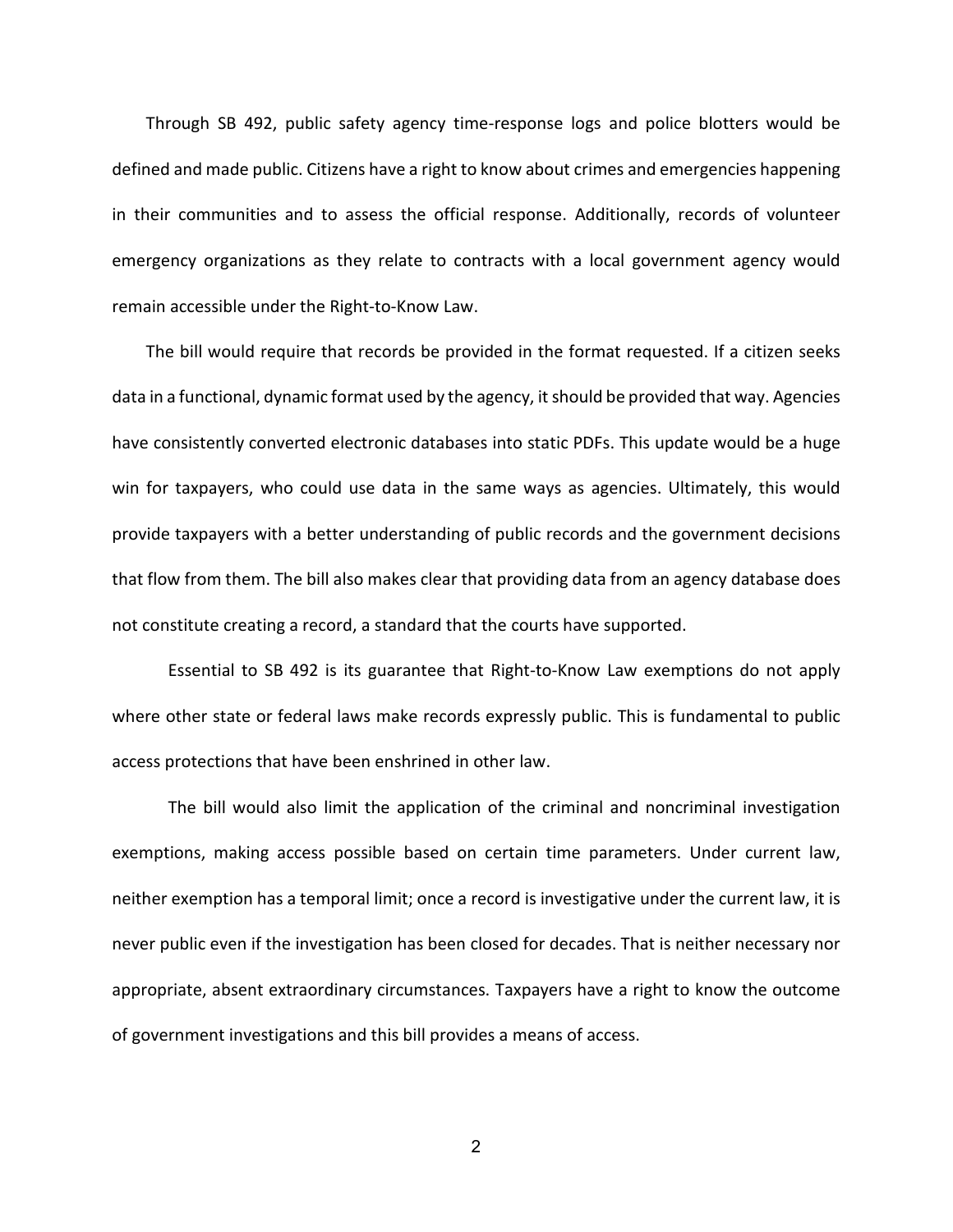Through SB 492, public safety agency time-response logs and police blotters would be defined and made public. Citizens have a right to know about crimes and emergencies happening in their communities and to assess the official response. Additionally, records of volunteer emergency organizations as they relate to contracts with a local government agency would remain accessible under the Right-to-Know Law.

The bill would require that records be provided in the format requested. If a citizen seeks data in a functional, dynamic format used by the agency, it should be provided that way. Agencies have consistently converted electronic databases into static PDFs. This update would be a huge win for taxpayers, who could use data in the same ways as agencies. Ultimately, this would provide taxpayers with a better understanding of public records and the government decisions that flow from them. The bill also makes clear that providing data from an agency database does not constitute creating a record, a standard that the courts have supported.

Essential to SB 492 is its guarantee that Right-to-Know Law exemptions do not apply where other state or federal laws make records expressly public. This is fundamental to public access protections that have been enshrined in other law.

The bill would also limit the application of the criminal and noncriminal investigation exemptions, making access possible based on certain time parameters. Under current law, neither exemption has a temporal limit; once a record is investigative under the current law, it is never public even if the investigation has been closed for decades. That is neither necessary nor appropriate, absent extraordinary circumstances. Taxpayers have a right to know the outcome of government investigations and this bill provides a means of access.

2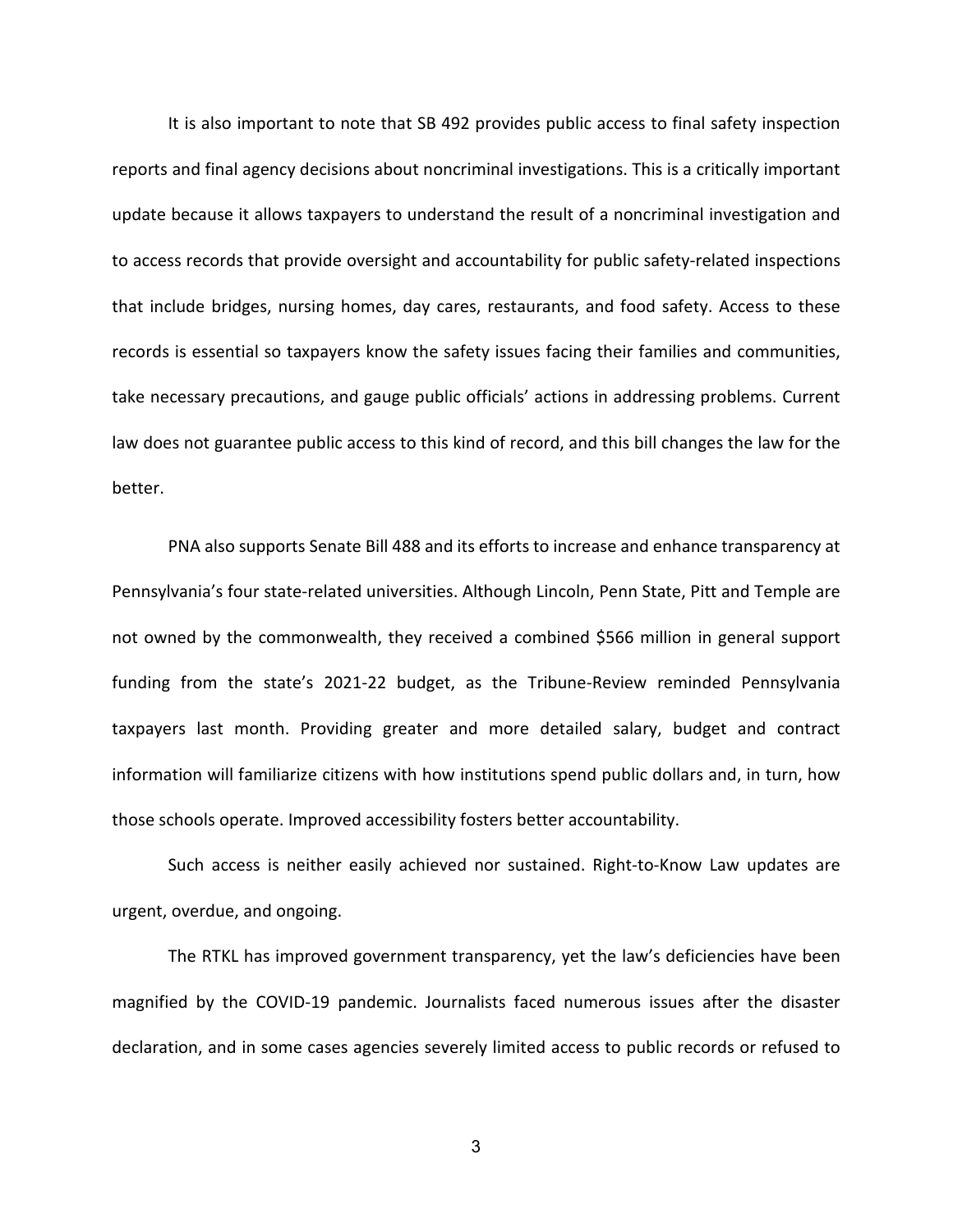It is also important to note that SB 492 provides public access to final safety inspection reports and final agency decisions about noncriminal investigations. This is a critically important update because it allows taxpayers to understand the result of a noncriminal investigation and to access records that provide oversight and accountability for public safety-related inspections that include bridges, nursing homes, day cares, restaurants, and food safety. Access to these records is essential so taxpayers know the safety issues facing their families and communities, take necessary precautions, and gauge public officials' actions in addressing problems. Current law does not guarantee public access to this kind of record, and this bill changes the law for the better.

PNA also supports Senate Bill 488 and its efforts to increase and enhance transparency at Pennsylvania's four state-related universities. Although Lincoln, Penn State, Pitt and Temple are not owned by the commonwealth, they received a combined \$566 million in general support funding from the state's 2021-22 budget, as the Tribune-Review reminded Pennsylvania taxpayers last month. Providing greater and more detailed salary, budget and contract information will familiarize citizens with how institutions spend public dollars and, in turn, how those schools operate. Improved accessibility fosters better accountability.

Such access is neither easily achieved nor sustained. Right-to-Know Law updates are urgent, overdue, and ongoing.

The RTKL has improved government transparency, yet the law's deficiencies have been magnified by the COVID-19 pandemic. Journalists faced numerous issues after the disaster declaration, and in some cases agencies severely limited access to public records or refused to

3